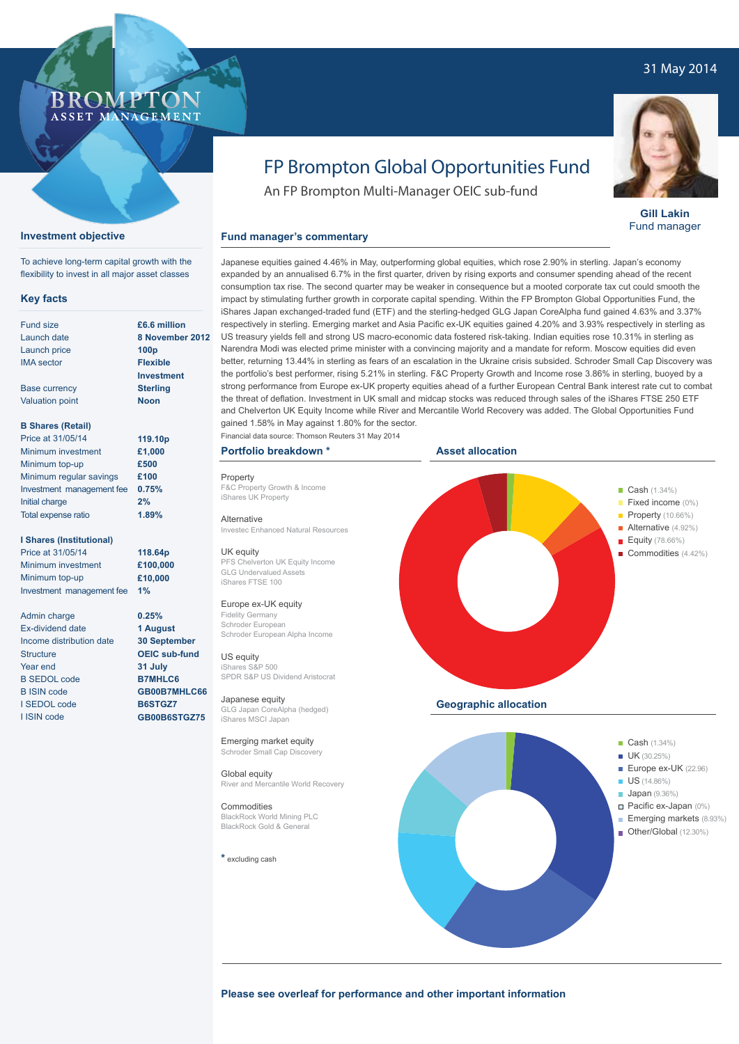# 31 May 2014

# BROMP ASSET MANAGEMENT

## **Investment objective**

To achieve long-term capital growth with the flexibility to invest in all major asset classes

#### **Key facts**

| <b>Fund size</b>          | £6.6 mil         |  |  |
|---------------------------|------------------|--|--|
| Launch date               | 8 Nover          |  |  |
| Launch price              | 100 <sub>p</sub> |  |  |
| <b>IMA</b> sector         | <b>Flexible</b>  |  |  |
|                           | Investm          |  |  |
| <b>Base currency</b>      | <b>Sterling</b>  |  |  |
| <b>Valuation point</b>    | <b>Noon</b>      |  |  |
| <b>B Shares (Retail)</b>  |                  |  |  |
| Price at 31/05/14         | 119.10p          |  |  |
| Minimum investment        | £1,000           |  |  |
| Minimum top-up            | £500             |  |  |
| Minimum regular savings   | £100             |  |  |
| Investment management fee | 0.75%            |  |  |
| Initial charge            | 2%               |  |  |

#### **I Shares (Institutional)**

Total expense ratio

Price at 31/05/14 Minimum investment Minimum top-up Investment management fee

Admin charge Ex-dividend date Income distribution date **Structure** Year end B SEDOL code B ISIN code I SEDOL code I ISIN code

**£6.6 million 8 November 2012 Flexible Investment Sterling**

**1.89%**

**118.64p £100,000 £10,000 1%**

**0.25% 1 August 30 September OEIC sub-fund 31 July B7MHLC6 GB00B7MHLC66 B6STGZ7 GB00B6STGZ75**

**Fund manager's commentary** 

### **Portfolio breakdown \***

Property F&C Property Growth & Income iShares UK Property

Alternative Investec Enhanced Natural Resources

UK equity PFS Chelverton UK Equity Income GLG Undervalued Assets iShares FTSE 100

Europe ex-UK equity

Fidelity Germany Schroder European Schroder European Alpha Income

#### US equity iShares S&P 500

SPDR S&P US Dividend Aristocrat Japanese equity

GLG Japan CoreAlpha (hedged) iShares MSCI Japan

Emerging market equity Schroder Small Cap Discovery

Global equity River and Mercantile World Recovery

## Commodities

BlackRock World Mining PLC BlackRock Gold & General

#### **\*** excluding cash





**Please see overleaf for performance and other important information**



**Gill Lakin** Fund manager

gained 1.58% in May against 1.80% for the sector. Financial data source: Thomson Reuters 31 May 2014

FP Brompton Global Opportunities Fund

Japanese equities gained 4.46% in May, outperforming global equities, which rose 2.90% in sterling. Japan's economy expanded by an annualised 6.7% in the first quarter, driven by rising exports and consumer spending ahead of the recent consumption tax rise. The second quarter may be weaker in consequence but a mooted corporate tax cut could smooth the impact by stimulating further growth in corporate capital spending. Within the FP Brompton Global Opportunities Fund, the iShares Japan exchanged-traded fund (ETF) and the sterling-hedged GLG Japan CoreAlpha fund gained 4.63% and 3.37% respectively in sterling. Emerging market and Asia Pacific ex-UK equities gained 4.20% and 3.93% respectively in sterling as US treasury yields fell and strong US macro-economic data fostered risk-taking. Indian equities rose 10.31% in sterling as Narendra Modi was elected prime minister with a convincing majority and a mandate for reform. Moscow equities did even better, returning 13.44% in sterling as fears of an escalation in the Ukraine crisis subsided. Schroder Small Cap Discovery was

An FP Brompton Multi-Manager OEIC sub-fund